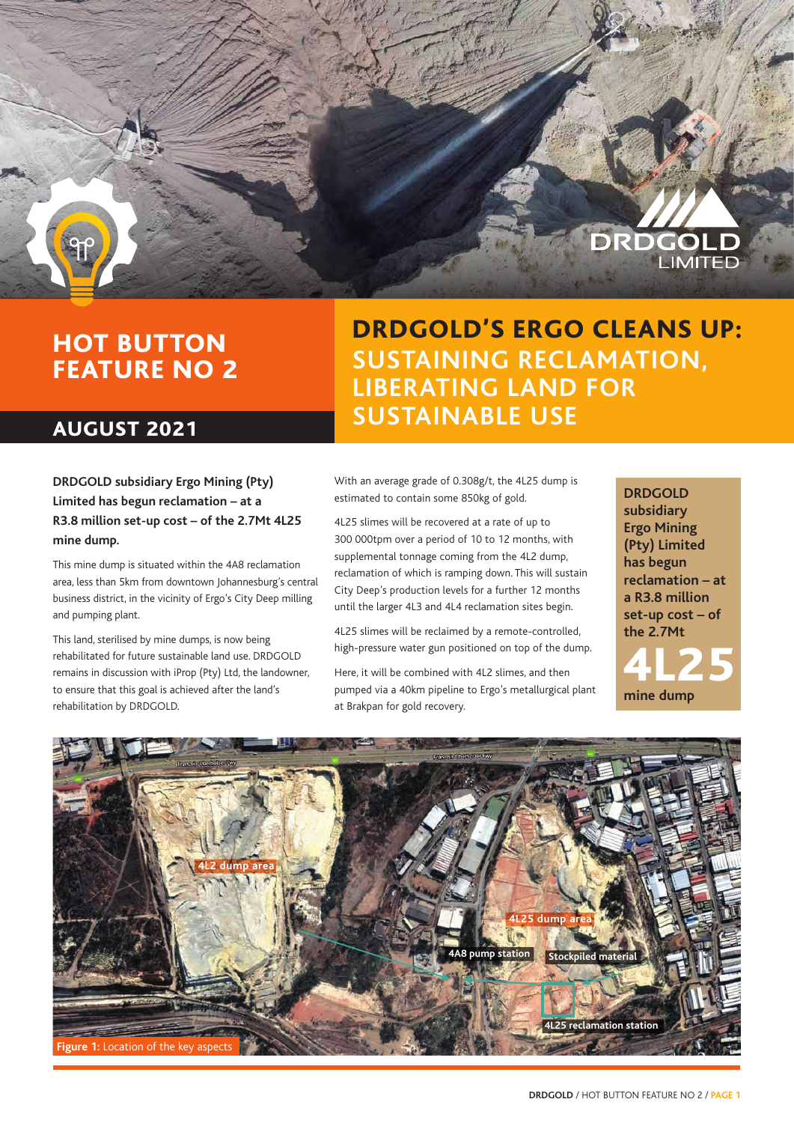

## HOT BUTTON FEATURE NO 2

### AUGUST 2021

DRDGOLD'S ERGO CLEANS UP: **SUSTAINING RECLAMATION, LIBERATING LAND FOR SUSTAINABLE USE**

**DRDGOLD subsidiary Ergo Mining (Pty) Limited has begun reclamation – at a R3.8 million set-up cost – of the 2.7Mt 4L25 mine dump.** 

This mine dump is situated within the 4A8 reclamation area, less than 5km from downtown Johannesburg's central business district, in the vicinity of Ergo's City Deep milling and pumping plant.

This land, sterilised by mine dumps, is now being rehabilitated for future sustainable land use. DRDGOLD remains in discussion with iProp (Pty) Ltd, the landowner, to ensure that this goal is achieved after the land's rehabilitation by DRDGOLD.

With an average grade of 0.308g/t, the 4L25 dump is estimated to contain some 850kg of gold.

4L25 slimes will be recovered at a rate of up to 300 000tpm over a period of 10 to 12 months, with supplemental tonnage coming from the 4L2 dump, reclamation of which is ramping down. This will sustain City Deep's production levels for a further 12 months until the larger 4L3 and 4L4 reclamation sites begin.

4L25 slimes will be reclaimed by a remote-controlled, high-pressure water gun positioned on top of the dump.

Here, it will be combined with 4L2 slimes, and then pumped via a 40km pipeline to Ergo's metallurgical plant at Brakpan for gold recovery.

**DRDGOLD subsidiary Ergo Mining (Pty) Limited has begun reclamation – at a R3.8 million set-up cost – of the 2.7Mt**

**mine dump** 4L25